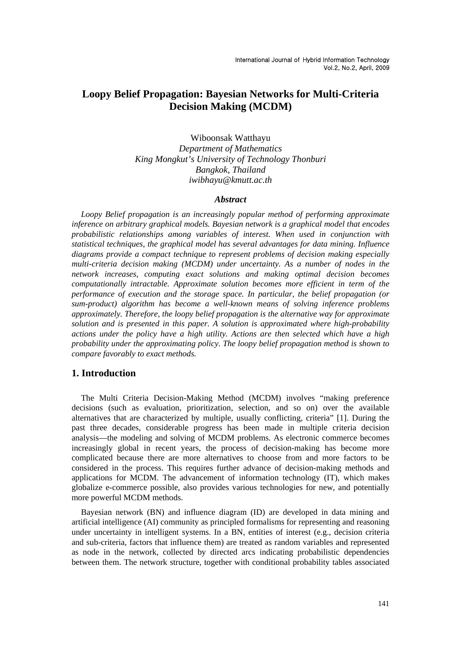# **Loopy Belief Propagation: Bayesian Networks for Multi-Criteria Decision Making (MCDM)**

Wiboonsak Watthayu *Department of Mathematics King Mongkut's University of Technology Thonburi Bangkok, Thailand iwibhayu@kmutt.ac.th* 

### *Abstract*

*Loopy Belief propagation is an increasingly popular method of performing approximate inference on arbitrary graphical models. Bayesian network is a graphical model that encodes probabilistic relationships among variables of interest. When used in conjunction with statistical techniques, the graphical model has several advantages for data mining. Influence diagrams provide a compact technique to represent problems of decision making especially multi-criteria decision making (MCDM) under uncertainty. As a number of nodes in the network increases, computing exact solutions and making optimal decision becomes computationally intractable. Approximate solution becomes more efficient in term of the performance of execution and the storage space. In particular, the belief propagation (or sum-product) algorithm has become a well-known means of solving inference problems approximately. Therefore, the loopy belief propagation is the alternative way for approximate solution and is presented in this paper. A solution is approximated where high-probability actions under the policy have a high utility. Actions are then selected which have a high probability under the approximating policy. The loopy belief propagation method is shown to compare favorably to exact methods.* 

## **1. Introduction**

The Multi Criteria Decision-Making Method (MCDM) involves "making preference decisions (such as evaluation, prioritization, selection, and so on) over the available alternatives that are characterized by multiple, usually conflicting, criteria" [1]. During the past three decades, considerable progress has been made in multiple criteria decision analysis—the modeling and solving of MCDM problems. As electronic commerce becomes increasingly global in recent years, the process of decision-making has become more complicated because there are more alternatives to choose from and more factors to be considered in the process. This requires further advance of decision-making methods and applications for MCDM. The advancement of information technology (IT), which makes globalize e-commerce possible, also provides various technologies for new, and potentially more powerful MCDM methods.

Bayesian network (BN) and influence diagram (ID) are developed in data mining and artificial intelligence (AI) community as principled formalisms for representing and reasoning under uncertainty in intelligent systems. In a BN, entities of interest (e.g., decision criteria and sub-criteria, factors that influence them) are treated as random variables and represented as node in the network, collected by directed arcs indicating probabilistic dependencies between them. The network structure, together with conditional probability tables associated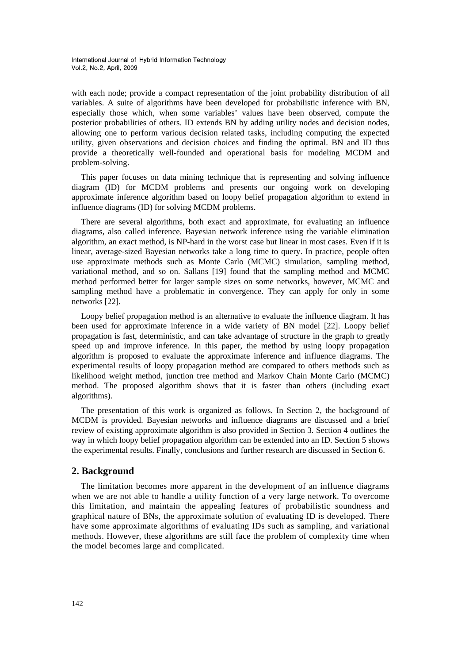with each node; provide a compact representation of the joint probability distribution of all variables. A suite of algorithms have been developed for probabilistic inference with BN, especially those which, when some variables' values have been observed, compute the posterior probabilities of others. ID extends BN by adding utility nodes and decision nodes, allowing one to perform various decision related tasks, including computing the expected utility, given observations and decision choices and finding the optimal. BN and ID thus provide a theoretically well-founded and operational basis for modeling MCDM and problem-solving.

This paper focuses on data mining technique that is representing and solving influence diagram (ID) for MCDM problems and presents our ongoing work on developing approximate inference algorithm based on loopy belief propagation algorithm to extend in influence diagrams (ID) for solving MCDM problems.

There are several algorithms, both exact and approximate, for evaluating an influence diagrams, also called inference. Bayesian network inference using the variable elimination algorithm, an exact method, is NP-hard in the worst case but linear in most cases. Even if it is linear, average-sized Bayesian networks take a long time to query. In practice, people often use approximate methods such as Monte Carlo (MCMC) simulation, sampling method, variational method, and so on. Sallans [19] found that the sampling method and MCMC method performed better for larger sample sizes on some networks, however, MCMC and sampling method have a problematic in convergence. They can apply for only in some networks [22].

Loopy belief propagation method is an alternative to evaluate the influence diagram. It has been used for approximate inference in a wide variety of BN model [22]. Loopy belief propagation is fast, deterministic, and can take advantage of structure in the graph to greatly speed up and improve inference. In this paper, the method by using loopy propagation algorithm is proposed to evaluate the approximate inference and influence diagrams. The experimental results of loopy propagation method are compared to others methods such as likelihood weight method, junction tree method and Markov Chain Monte Carlo (MCMC) method. The proposed algorithm shows that it is faster than others (including exact algorithms).

The presentation of this work is organized as follows. In Section 2, the background of MCDM is provided. Bayesian networks and influence diagrams are discussed and a brief review of existing approximate algorithm is also provided in Section 3. Section 4 outlines the way in which loopy belief propagation algorithm can be extended into an ID. Section 5 shows the experimental results. Finally, conclusions and further research are discussed in Section 6.

### **2. Background**

The limitation becomes more apparent in the development of an influence diagrams when we are not able to handle a utility function of a very large network. To overcome this limitation, and maintain the appealing features of probabilistic soundness and graphical nature of BNs, the approximate solution of evaluating ID is developed. There have some approximate algorithms of evaluating IDs such as sampling, and variational methods. However, these algorithms are still face the problem of complexity time when the model becomes large and complicated.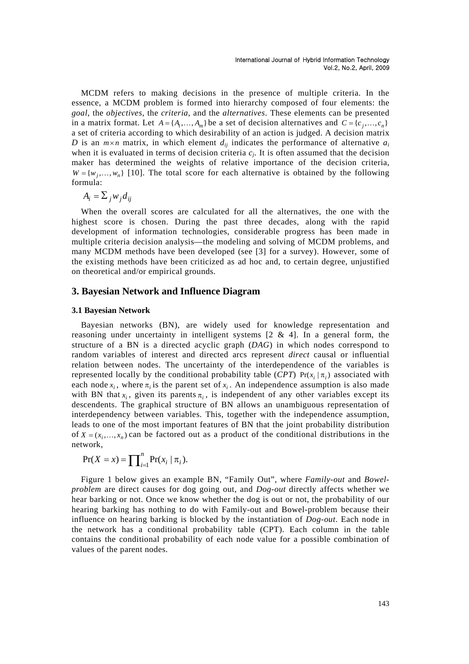MCDM refers to making decisions in the presence of multiple criteria. In the essence, a MCDM problem is formed into hierarchy composed of four elements: the *goal*, the *objectives*, the *criteria*, and the *alternatives*. These elements can be presented in a matrix format. Let  $A = \{A_i, ..., A_m\}$  be a set of decision alternatives and  $C = \{c_i, ..., c_n\}$ a set of criteria according to which desirability of an action is judged. A decision matrix *D* is an  $m \times n$  matrix, in which element  $d_{ii}$  indicates the performance of alternative  $a_i$ when it is evaluated in terms of decision criteria  $c_i$ . It is often assumed that the decision maker has determined the weights of relative importance of the decision criteria,  $W = \{w_1, \ldots, w_n\}$  [10]. The total score for each alternative is obtained by the following formula:

$$
A_i = \sum_j w_j d_{ij}
$$

When the overall scores are calculated for all the alternatives, the one with the highest score is chosen. During the past three decades, along with the rapid development of information technologies, considerable progress has been made in multiple criteria decision analysis—the modeling and solving of MCDM problems, and many MCDM methods have been developed (see [3] for a survey). However, some of the existing methods have been criticized as ad hoc and, to certain degree, unjustified on theoretical and/or empirical grounds.

## **3. Bayesian Network and Influence Diagram**

### **3.1 Bayesian Network**

Bayesian networks (BN), are widely used for knowledge representation and reasoning under uncertainty in intelligent systems  $[2 \& 4]$ . In a general form, the structure of a BN is a directed acyclic graph (*DAG*) in which nodes correspond to random variables of interest and directed arcs represent *direct* causal or influential relation between nodes. The uncertainty of the interdependence of the variables is represented locally by the conditional probability table (*CPT*)  $Pr(x_i | \pi_i)$  associated with each node  $x_i$ , where  $\pi_i$  is the parent set of  $x_i$ . An independence assumption is also made with BN that  $x_i$ , given its parents  $\pi_i$ , is independent of any other variables except its descendents. The graphical structure of BN allows an unambiguous representation of interdependency between variables. This, together with the independence assumption, leads to one of the most important features of BN that the joint probability distribution of  $X = (x_i, ..., x_n)$  can be factored out as a product of the conditional distributions in the network,

$$
\Pr(X = x) = \prod_{i=1}^{n} \Pr(x_i \mid \pi_i).
$$

Figure 1 below gives an example BN, "Family Out", where *Family-out* and *Bowelproblem* are direct causes for dog going out, and *Dog-out* directly affects whether we hear barking or not. Once we know whether the dog is out or not, the probability of our hearing barking has nothing to do with Family-out and Bowel-problem because their influence on hearing barking is blocked by the instantiation of *Dog-out*. Each node in the network has a conditional probability table (CPT). Each column in the table contains the conditional probability of each node value for a possible combination of values of the parent nodes.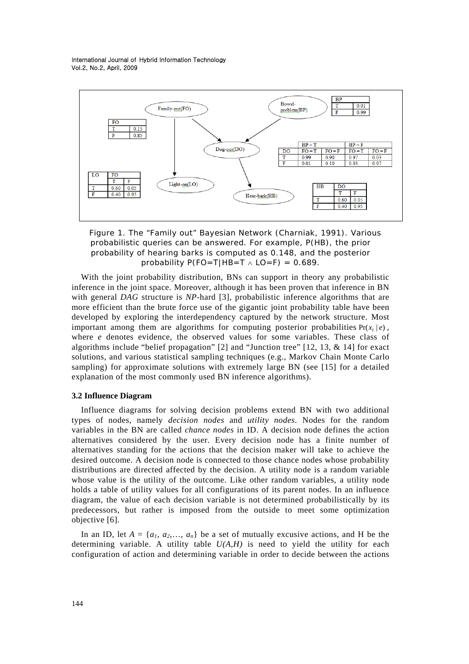

Figure 1. The "Family out" Bayesian Network (Charniak, 1991). Various probabilistic queries can be answered. For example, P(HB), the prior probability of hearing barks is computed as 0.148, and the posterior probability  $P(FO = T|HB = T \wedge LO = F) = 0.689$ .

With the joint probability distribution, BNs can support in theory any probabilistic inference in the joint space. Moreover, although it has been proven that inference in BN with general *DAG* structure is *NP-*hard [3], probabilistic inference algorithms that are more efficient than the brute force use of the gigantic joint probability table have been developed by exploring the interdependency captured by the network structure. Most important among them are algorithms for computing posterior probabilities  $Pr(x, |e)$ , where *e* denotes evidence, the observed values for some variables. These class of algorithms include "belief propagation" [2] and "Junction tree" [12, 13, & 14] for exact solutions, and various statistical sampling techniques (e.g., Markov Chain Monte Carlo sampling) for approximate solutions with extremely large BN (see [15] for a detailed explanation of the most commonly used BN inference algorithms).

#### **3.2 Influence Diagram**

Influence diagrams for solving decision problems extend BN with two additional types of nodes, namely *decision nodes* and *utility nodes*. Nodes for the random variables in the BN are called *chance nodes* in ID. A decision node defines the action alternatives considered by the user. Every decision node has a finite number of alternatives standing for the actions that the decision maker will take to achieve the desired outcome. A decision node is connected to those chance nodes whose probability distributions are directed affected by the decision. A utility node is a random variable whose value is the utility of the outcome. Like other random variables, a utility node holds a table of utility values for all configurations of its parent nodes. In an influence diagram, the value of each decision variable is not determined probabilistically by its predecessors, but rather is imposed from the outside to meet some optimization objective [6].

In an ID, let  $A = \{a_1, a_2, \ldots, a_n\}$  be a set of mutually excusive actions, and H be the determining variable. A utility table  $U(A,H)$  is need to yield the utility for each configuration of action and determining variable in order to decide between the actions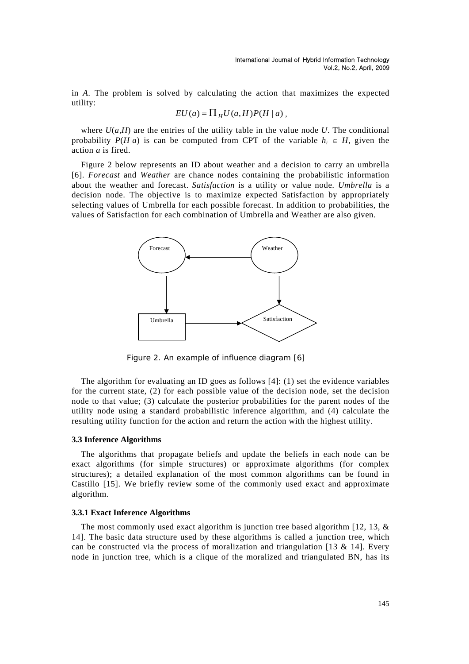in *A*. The problem is solved by calculating the action that maximizes the expected utility:

$$
EU(a) = \prod_H U(a,H)P(H \mid a) ,
$$

where  $U(a,H)$  are the entries of the utility table in the value node U. The conditional probability  $P(H|a)$  is can be computed from CPT of the variable  $h_i \in H$ , given the action *a* is fired.

Figure 2 below represents an ID about weather and a decision to carry an umbrella [6]. *Forecast* and *Weather* are chance nodes containing the probabilistic information about the weather and forecast. *Satisfaction* is a utility or value node. *Umbrella* is a decision node. The objective is to maximize expected Satisfaction by appropriately selecting values of Umbrella for each possible forecast. In addition to probabilities, the values of Satisfaction for each combination of Umbrella and Weather are also given.



Figure 2. An example of influence diagram [6]

The algorithm for evaluating an ID goes as follows [4]: (1) set the evidence variables for the current state, (2) for each possible value of the decision node, set the decision node to that value; (3) calculate the posterior probabilities for the parent nodes of the utility node using a standard probabilistic inference algorithm, and (4) calculate the resulting utility function for the action and return the action with the highest utility.

#### **3.3 Inference Algorithms**

The algorithms that propagate beliefs and update the beliefs in each node can be exact algorithms (for simple structures) or approximate algorithms (for complex structures); a detailed explanation of the most common algorithms can be found in Castillo [15]. We briefly review some of the commonly used exact and approximate algorithm.

### **3.3.1 Exact Inference Algorithms**

The most commonly used exact algorithm is junction tree based algorithm  $[12, 13, \&$ 14]. The basic data structure used by these algorithms is called a junction tree, which can be constructed via the process of moralization and triangulation [13  $\&$  14]. Every node in junction tree, which is a clique of the moralized and triangulated BN, has its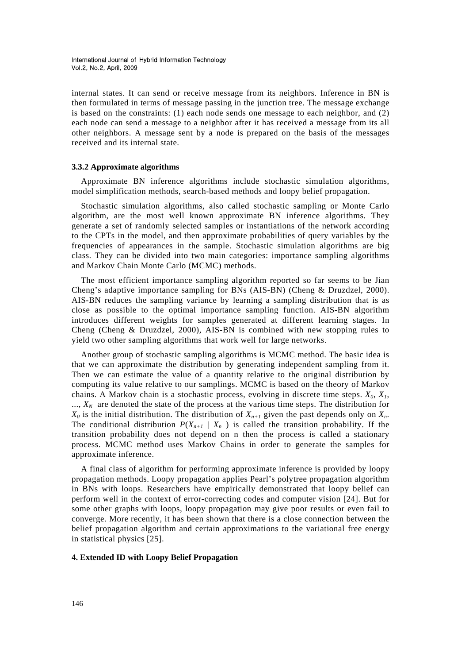internal states. It can send or receive message from its neighbors. Inference in BN is then formulated in terms of message passing in the junction tree. The message exchange is based on the constraints: (1) each node sends one message to each neighbor, and (2) each node can send a message to a neighbor after it has received a message from its all other neighbors. A message sent by a node is prepared on the basis of the messages received and its internal state.

#### **3.3.2 Approximate algorithms**

Approximate BN inference algorithms include stochastic simulation algorithms, model simplification methods, search-based methods and loopy belief propagation.

Stochastic simulation algorithms, also called stochastic sampling or Monte Carlo algorithm, are the most well known approximate BN inference algorithms. They generate a set of randomly selected samples or instantiations of the network according to the CPTs in the model, and then approximate probabilities of query variables by the frequencies of appearances in the sample. Stochastic simulation algorithms are big class. They can be divided into two main categories: importance sampling algorithms and Markov Chain Monte Carlo (MCMC) methods.

The most efficient importance sampling algorithm reported so far seems to be Jian Cheng's adaptive importance sampling for BNs (AIS-BN) (Cheng & Druzdzel, 2000). AIS-BN reduces the sampling variance by learning a sampling distribution that is as close as possible to the optimal importance sampling function. AIS-BN algorithm introduces different weights for samples generated at different learning stages. In Cheng (Cheng & Druzdzel, 2000), AIS-BN is combined with new stopping rules to yield two other sampling algorithms that work well for large networks.

Another group of stochastic sampling algorithms is MCMC method. The basic idea is that we can approximate the distribution by generating independent sampling from it. Then we can estimate the value of a quantity relative to the original distribution by computing its value relative to our samplings. MCMC is based on the theory of Markov chains. A Markov chain is a stochastic process, evolving in discrete time steps.  $X_0$ ,  $X_1$ ,  $..., X_N$  are denoted the state of the process at the various time steps. The distribution for  $X_0$  is the initial distribution. The distribution of  $X_{n+1}$  given the past depends only on  $X_n$ . The conditional distribution  $P(X_{n+1} | X_n)$  is called the transition probability. If the transition probability does not depend on n then the process is called a stationary process. MCMC method uses Markov Chains in order to generate the samples for approximate inference.

A final class of algorithm for performing approximate inference is provided by loopy propagation methods. Loopy propagation applies Pearl's polytree propagation algorithm in BNs with loops. Researchers have empirically demonstrated that loopy belief can perform well in the context of error-correcting codes and computer vision [24]. But for some other graphs with loops, loopy propagation may give poor results or even fail to converge. More recently, it has been shown that there is a close connection between the belief propagation algorithm and certain approximations to the variational free energy in statistical physics [25].

### **4. Extended ID with Loopy Belief Propagation**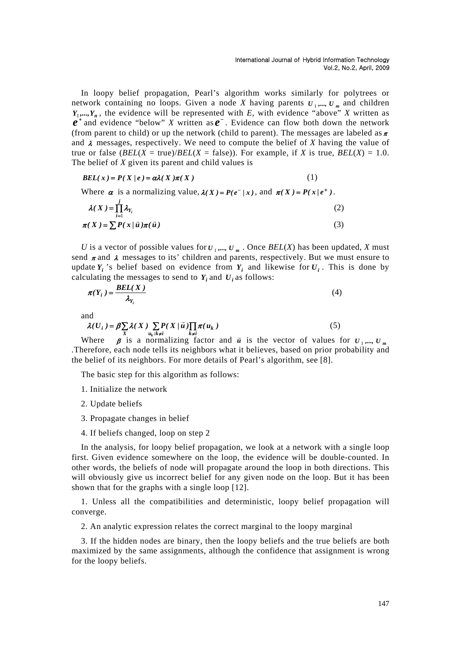In loopy belief propagation, Pearl's algorithm works similarly for polytrees or network containing no loops. Given a node *X* having parents  $U_1$ ,  $U_m$ , and children  $Y_1, \ldots, Y_n$ , the evidence will be represented with *E*, with evidence "above" *X* written as  $e^+$  and evidence "below" *X* written as  $e^-$ . Evidence can flow both down the network (from parent to child) or up the network (child to parent). The messages are labeled as  $\pi$ and  $\lambda$  messages, respectively. We need to compute the belief of  $X$  having the value of true or false  $(BEL(X = true)/BEL(X = false))$ . For example, if *X* is true,  $BEL(X) = 1.0$ . The belief of *X* given its parent and child values is

$$
BEL(x) = P(X \mid e) = \alpha \lambda(X) \pi(X)
$$
\n(1)

Where  $\alpha$  is a normalizing value,  $\lambda(X) = P(e^{-1}/x)$ , and  $\pi(X) = P(x/e^{+})$ .

$$
\lambda(X) = \prod_{i=1}^{j} \lambda_{Y_i}
$$
 (2)

$$
\pi(X) = \sum P(x|\vec{u})\pi(\vec{u})
$$
\n(3)

*U* is a vector of possible values for  $U_1$ ,  $\ldots$ ,  $U_m$ . Once *BEL(X)* has been updated, *X* must send  $\pi$  and  $\lambda$  messages to its' children and parents, respectively. But we must ensure to update  $Y_i$  's belief based on evidence from  $Y_i$  and likewise for  $U_i$ . This is done by calculating the messages to send to  $Y_i$  and  $U_i$  as follows:

$$
\pi(Y_i) = \frac{BEL(X)}{\lambda_{Y_i}} \tag{4}
$$

and

$$
\lambda(U_i) = \beta \sum_{X} \lambda(X) \sum_{u_k : k \neq i} P(X | \vec{u}) \prod_{k \neq i} \pi(u_k)
$$
\n(5)

Where  $\beta$  is a normalizing factor and  $\vec{u}$  is the vector of values for  $U_1$ ,...,  $U_m$ *.*Therefore, each node tells its neighbors what it believes, based on prior probability and the belief of its neighbors. For more details of Pearl's algorithm, see [8].

The basic step for this algorithm as follows:

- 1. Initialize the network
- 2. Update beliefs
- 3. Propagate changes in belief
- 4. If beliefs changed, loop on step 2

In the analysis, for loopy belief propagation, we look at a network with a single loop first. Given evidence somewhere on the loop, the evidence will be double-counted. In other words, the beliefs of node will propagate around the loop in both directions. This will obviously give us incorrect belief for any given node on the loop. But it has been shown that for the graphs with a single loop [12].

1. Unless all the compatibilities and deterministic, loopy belief propagation will converge.

2. An analytic expression relates the correct marginal to the loopy marginal

3. If the hidden nodes are binary, then the loopy beliefs and the true beliefs are both maximized by the same assignments, although the confidence that assignment is wrong for the loopy beliefs.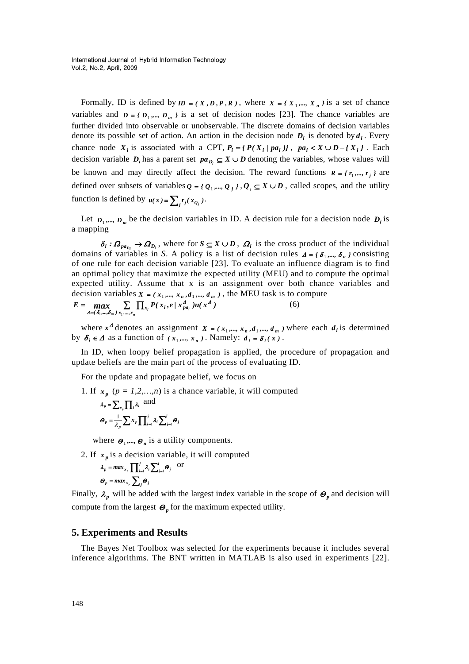Formally, ID is defined by  $ID = (X, D, P, R)$ , where  $X = \{X_1, ..., X_n\}$  is a set of chance variables and  $D = \{D_1, ..., D_m\}$  is a set of decision nodes [23]. The chance variables are further divided into observable or unobservable. The discrete domains of decision variables denote its possible set of action. An action in the decision node  $D_i$  is denoted by  $d_i$ . Every chance node  $X_i$  is associated with a CPT,  $P_i = {P(X_i | pa_i)}$ ,  $pa_i < X \cup D - {X_i}$ . Each decision variable  $D_i$  has a parent set  $pa_{D_i} \subseteq X \cup D$  denoting the variables, whose values will be known and may directly affect the decision. The reward functions  $R = {r_1, ..., r_i}$  are defined over subsets of variables  $Q = \{Q_1, ..., Q_j\}$ ,  $Q_i \subseteq X \cup D$ , called scopes, and the utility function is defined by  $u(x) = \sum_i r_i(x_{i}$ .

Let  $D_1$ ,...,  $D_m$  be the decision variables in ID. A decision rule for a decision node  $D_i$  is a mapping

 $\delta_i$  :  $\Omega_{pa_{D_i}} \to \Omega_{D_i}$ , where for  $S \subseteq X \cup D$ ,  $\Omega_i$  is the cross product of the individual domains of variables in *S*. A policy is a list of decision rules  $A = \{ \delta_1, ..., \delta_n \}$  consisting of one rule for each decision variable [23]. To evaluate an influence diagram is to find an optimal policy that maximize the expected utility (MEU) and to compute the optimal expected utility. Assume that x is an assignment over both chance variables and decision variables  $X = (x_1, ..., x_n, d_1, ..., d_m)$ , the MEU task is to compute  $E = \max_{\Delta = (\delta_1, ..., \delta_m)} \sum_{x_1, ..., x_n} \prod_{x_i} P(x_i, e / x_{pa_i}^{\Delta}) u(x^{\Delta})$  $= \max_{\Delta = (\delta_1, \ldots, \delta_m)} \sum_{x_1, \ldots, x_n} \prod_{\Delta}$  $(6)$ 

where  $x^4$  denotes an assignment  $X = (x_1, ..., x_n, d_1, ..., d_m)$  where each  $d_i$  is determined by  $\delta_i \in \Delta$  as a function of  $(x_1, ..., x_n)$ . Namely:  $d_i = \delta_i(x)$ .

In ID, when loopy belief propagation is applied, the procedure of propagation and update beliefs are the main part of the process of evaluating ID.

For the update and propagate belief, we focus on

1. If  $x_p$  ( $p = 1, 2, ..., n$ ) is a chance variable, it will computed

$$
\lambda_p = \sum_{x_p} \prod_i \lambda_i \text{ and}
$$

$$
\boldsymbol{\Theta}_p = \frac{1}{\lambda_p} \sum x_p \prod_{i=1}^j \lambda_i \sum_{j=1}^l \boldsymbol{\Theta}_j
$$

 $\bm{v}_1, ..., \bm{v}_m \cdot \bm{x}_1$ 

where  $\boldsymbol{\Theta}_1$ ,...,  $\boldsymbol{\Theta}_n$  is a utility components.

2. If  $x_n$  is a decision variable, it will computed

 $\lambda_p = max_{x_p} \prod_{i=1}^{j} \lambda_i \sum_{j=1}^{i} \Theta_j$  Or  $\boldsymbol{\Theta}_p = max_{x_n} \sum_i \boldsymbol{\Theta}_i$ 

Finally,  $\lambda_p$  will be added with the largest index variable in the scope of  $\mathcal{O}_p$  and decision will compute from the largest  $\mathcal{O}_p$  for the maximum expected utility.

### **5. Experiments and Results**

The Bayes Net Toolbox was selected for the experiments because it includes several inference algorithms. The BNT written in MATLAB is also used in experiments [22].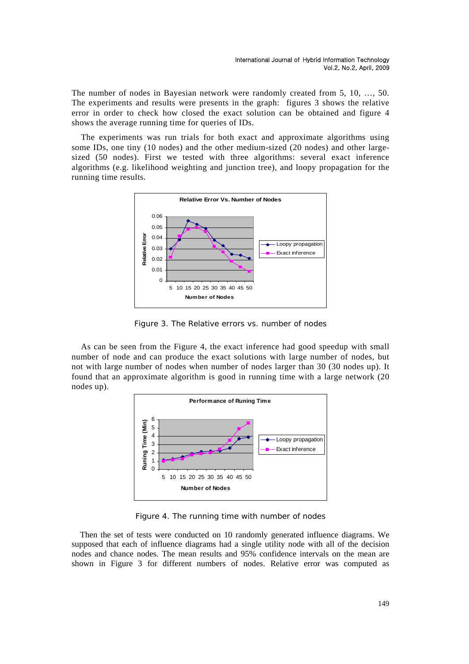The number of nodes in Bayesian network were randomly created from 5, 10, …, 50. The experiments and results were presents in the graph: figures 3 shows the relative error in order to check how closed the exact solution can be obtained and figure 4 shows the average running time for queries of IDs.

The experiments was run trials for both exact and approximate algorithms using some IDs, one tiny (10 nodes) and the other medium-sized (20 nodes) and other largesized (50 nodes). First we tested with three algorithms: several exact inference algorithms (e.g. likelihood weighting and junction tree), and loopy propagation for the running time results.



Figure 3. The Relative errors vs. number of nodes

As can be seen from the Figure 4, the exact inference had good speedup with small number of node and can produce the exact solutions with large number of nodes, but not with large number of nodes when number of nodes larger than 30 (30 nodes up). It found that an approximate algorithm is good in running time with a large network (20 nodes up).



Figure 4. The running time with number of nodes

 Then the set of tests were conducted on 10 randomly generated influence diagrams. We supposed that each of influence diagrams had a single utility node with all of the decision nodes and chance nodes. The mean results and 95% confidence intervals on the mean are shown in Figure 3 for different numbers of nodes. Relative error was computed as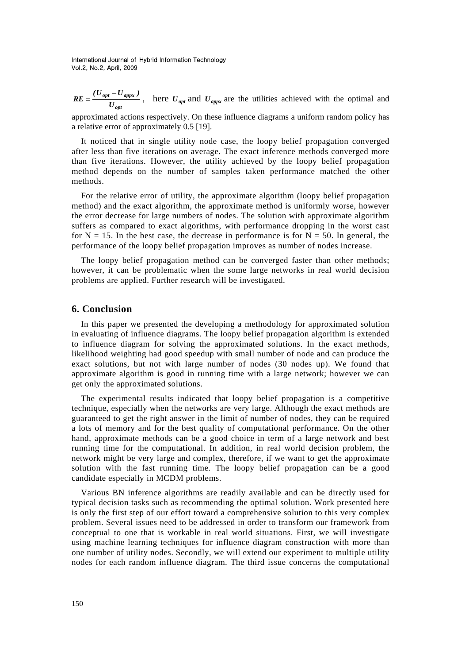*opt*  $_{opt} - U_{appx}$  $RE = \frac{(U_{opt} - U_{appx})}{U_{opt}}$ , here  $U_{opt}$  and  $U_{appx}$  are the utilities achieved with the optimal and

approximated actions respectively. On these influence diagrams a uniform random policy has a relative error of approximately 0.5 [19].

It noticed that in single utility node case, the loopy belief propagation converged after less than five iterations on average. The exact inference methods converged more than five iterations. However, the utility achieved by the loopy belief propagation method depends on the number of samples taken performance matched the other methods.

For the relative error of utility, the approximate algorithm (loopy belief propagation method) and the exact algorithm, the approximate method is uniformly worse, however the error decrease for large numbers of nodes. The solution with approximate algorithm suffers as compared to exact algorithms, with performance dropping in the worst cast for  $N = 15$ . In the best case, the decrease in performance is for  $N = 50$ . In general, the performance of the loopy belief propagation improves as number of nodes increase.

The loopy belief propagation method can be converged faster than other methods; however, it can be problematic when the some large networks in real world decision problems are applied. Further research will be investigated.

## **6. Conclusion**

In this paper we presented the developing a methodology for approximated solution in evaluating of influence diagrams. The loopy belief propagation algorithm is extended to influence diagram for solving the approximated solutions. In the exact methods, likelihood weighting had good speedup with small number of node and can produce the exact solutions, but not with large number of nodes (30 nodes up). We found that approximate algorithm is good in running time with a large network; however we can get only the approximated solutions.

The experimental results indicated that loopy belief propagation is a competitive technique, especially when the networks are very large. Although the exact methods are guaranteed to get the right answer in the limit of number of nodes, they can be required a lots of memory and for the best quality of computational performance. On the other hand, approximate methods can be a good choice in term of a large network and best running time for the computational. In addition, in real world decision problem, the network might be very large and complex, therefore, if we want to get the approximate solution with the fast running time. The loopy belief propagation can be a good candidate especially in MCDM problems.

Various BN inference algorithms are readily available and can be directly used for typical decision tasks such as recommending the optimal solution. Work presented here is only the first step of our effort toward a comprehensive solution to this very complex problem. Several issues need to be addressed in order to transform our framework from conceptual to one that is workable in real world situations. First, we will investigate using machine learning techniques for influence diagram construction with more than one number of utility nodes. Secondly, we will extend our experiment to multiple utility nodes for each random influence diagram. The third issue concerns the computational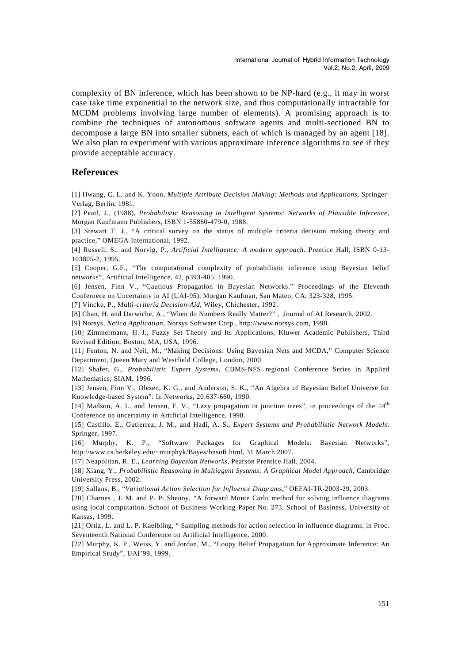complexity of BN inference, which has been shown to be NP-hard (e.g., it may in worst case take time exponential to the network size, and thus computationally intractable for MCDM problems involving large number of elements). A promising approach is to combine the techniques of autonomous software agents and multi-sectioned BN to decompose a large BN into smaller subnets, each of which is managed by an agent [18]. We also plan to experiment with various approximate inference algorithms to see if they provide acceptable accuracy.

## **References**

[1] Hwang, C. L. and K. Yoon, *Multiple Attribute Decision Making: Methods and Applications*, Springer-Verlag, Berlin, 1981.

[2] Pearl, J., (1988), *Probabilistic Reasoning in Intelligent Systems: Networks of Plausible Inference*, Morgan Kaufmann Publishers, ISBN 1-55860-479-0, 1988.

[3] Stewart T. J., "A critical survey on the status of multiple criteria decision making theory and practice," OMEGA International, 1992.

[4] Russell, S., and Norvig, P., *Artificial Intelligence: A modern approach*. Prentice Hall, ISBN 0-13- 103805-2, 1995.

[5] Cooper, G.F., "The computational complexity of probabilistic inference using Bayesian belief networks", Artificial Intelligence, 42, p393-405, 1990.

[6] Jensen, Finn V., "Cautious Propagation in Bayesian Networks." Proceedings of the Eleventh Confernece on Uncertainty in AI (UAI-95), Morgan Kaufman, San Mateo, CA, 323-328, 1995.

[7] Vincke, P., Multi*-criteria Decision-Aid*, Wiley, Chichester, 1992.

[8] Chan, H. and Darwiche, A., "When do Numbers Really Matter?" , Journal of AI Research, 2002.

[9] Norsys, *Netica Application*, Norsys Software Corp., http://www.norsys.com, 1998.

[10] Zimmermann, H.-J., Fuzzy Set Theory and Its Applications, Kluwer Academic Publishers, Third Revised Edition, Boston, MA, USA, 1996.

[11] Fenton, N. and Neil, M., "Making Decisions: Using Bayesian Nets and MCDA," Computer Science Department, Queen Mary and Westfield College, London, 2000.

[12] Shafer, G., *Probabilistic Expert Systems*, CBMS-NFS regional Conference Series in Applied Mathematics; SIAM, 1996.

[13] Jensen, Finn V., Olesen, K. G., and Anderson, S. K., "An Algebra of Bayesian Belief Universe for Knowledge-based System": In Networks, 20:637-660, 1990.

[14] Madson, A. L. and Jensen, F. V., "Lazy propagation in junction trees", in proceedings of the 14<sup>th</sup> Conference on uncertainty in Artificial Intelligence, 1998.

[15] Castillo, E., Gutierrez, J. M., and Hadi, A. S., *Expert Systems and Probabilistic Network Models*: Springer, 1997.

[16] Murphy, K. P., "Software Packages for Graphical Models: Bayesian Networks", http://www.cs.berkeley.edu/~murphyk/Bayes/bnsoft.html, 31 March 2007.

[17] Neapolitan, R. E., *Learning Bayesian Networks*, Pearson Prentice Hall, 2004.

[18] Xiang, Y., *Probabilistic Reasoning in Multiagent Systems: A Graphical Model Approach*, Cambridge University Press, 2002.

[19] Sallans, B., "*Variational Action Selection for Influence Diagrams*," OEFAI-TR-2003-29, 2003.

[20] Charnes , J. M. and P. P. Shenoy, "A forward Monte Carlo method for solving influence diagrams using local computation. School of Business Working Paper No. 273, School of Business, University of Kansas, 1999.

[21] Ortiz, L. and L. P. Kaelbling, " Sampling methods for action selection in influence diagrams, in Proc. Seventeenth National Conference on Artificial Intelligence, 2000.

[22] Murphy, K. P., Weiss, Y. and Jordan, M., "Loopy Belief Propagation for Approximate Inference: An Empirical Study", UAI'99, 1999.